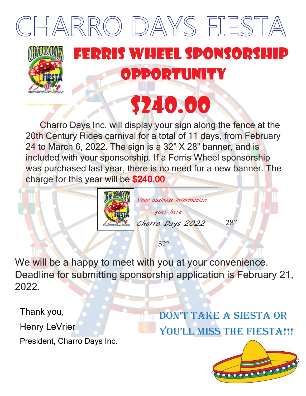

 Charro Days Inc. will display your sign along the fence at the 20th Century Rides carnival for a total of 11 days, from February 24 to March 6, 2022. The sign is a  $32"$  X 28" banner, and is included with your sponsorship. If a Ferris Wheel sponsorship was purchased last year, there is no need for a new banner. The charge for this year will be \$240.00



We will be a happy to meet with you at your convenience. Deadline for submitting sponsorship application is February 21, 2022.

Thank you,

Henry LeVrier

President, Charro Days Inc.

Don't take a siesta or YOU'LL MISS THE FIESTA!!!